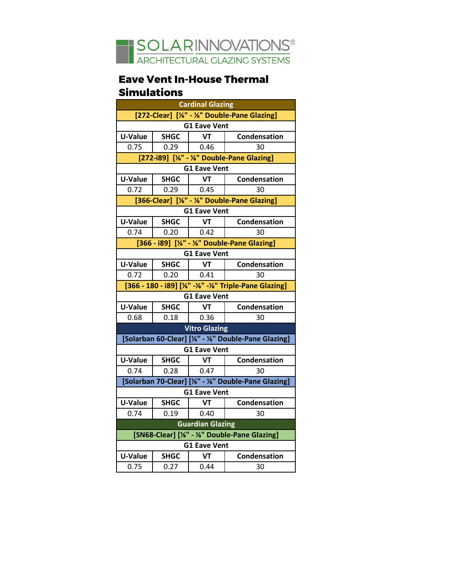

## **Eave Vent In-House Thermal Simulations**

| <b>Cardinal Glazing</b>                                    |             |              |              |
|------------------------------------------------------------|-------------|--------------|--------------|
| [272-Clear] [%" - %" Double-Pane Glazing]                  |             |              |              |
| <b>G1 Eave Vent</b>                                        |             |              |              |
| <b>U-Value</b>                                             | <b>SHGC</b> | VT           | Condensation |
| 0.75                                                       | 0.29        | $\vert$ 0.46 | 30           |
| [272-i89] [1/8" - 1/8" Double-Pane Glazing]                |             |              |              |
| <b>G1 Eave Vent</b>                                        |             |              |              |
| <b>U-Value</b>                                             | <b>SHGC</b> | VT           | Condensation |
| 0.72                                                       | 0.29        | -0.45        | 30           |
| [366-Clear] [%" - %" Double-Pane Glazing]                  |             |              |              |
| <b>G1 Eave Vent</b>                                        |             |              |              |
| U-Value                                                    | <b>SHGC</b> | <b>VT</b>    | Condensation |
| 0.74                                                       | 0.20        | 0.42         | 30           |
| [366 - i89] [1/8" - 1/8" Double-Pane Glazing]              |             |              |              |
| <b>G1 Eave Vent</b>                                        |             |              |              |
| U-Value                                                    | <b>SHGC</b> | VT           | Condensation |
| 0.72                                                       | 0.20        | 0.41         | 30           |
| [366 - 180 - i89] [1/8" - 1/8" - 1/8" Triple-Pane Glazing] |             |              |              |
| <b>G1 Eave Vent</b>                                        |             |              |              |
| U-Value                                                    | <b>SHGC</b> | <b>VT</b>    | Condensation |
| 0.68                                                       | 0.18        | 0.36         | 30           |
| <b>Vitro Glazing</b>                                       |             |              |              |
| [Solarban 60-Clear] [1/8" - 1/8" Double-Pane Glazing]      |             |              |              |
| <b>G1 Eave Vent</b>                                        |             |              |              |
| U-Value                                                    | <b>SHGC</b> | VT           | Condensation |
| 0.74                                                       | 0.28        | 0.47         | 30           |
| [Solarban 70-Clear] [%" - %" Double-Pane Glazing]          |             |              |              |
| <b>G1 Eave Vent</b>                                        |             |              |              |
| <b>U-Value</b>                                             | <b>SHGC</b> | VT           | Condensation |
| 0.74                                                       | 0.19        | 0.40         | 30           |
| <b>Guardian Glazing</b>                                    |             |              |              |
| [SN68-Clear] [%" - %" Double-Pane Glazing]                 |             |              |              |
| <b>G1 Eave Vent</b>                                        |             |              |              |
| <b>U-Value</b>                                             | <b>SHGC</b> | <b>VT</b>    | Condensation |
| 0.75                                                       | 0.27        | 0.44         | 30           |